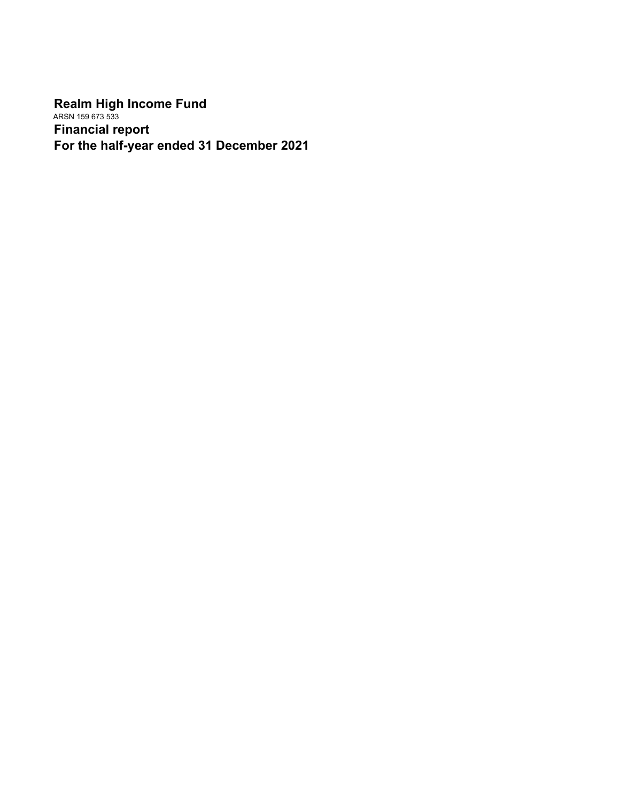**Realm High Income Fund** ARSN 159 673 533 **Financial report For the half-year ended 31 December 2021**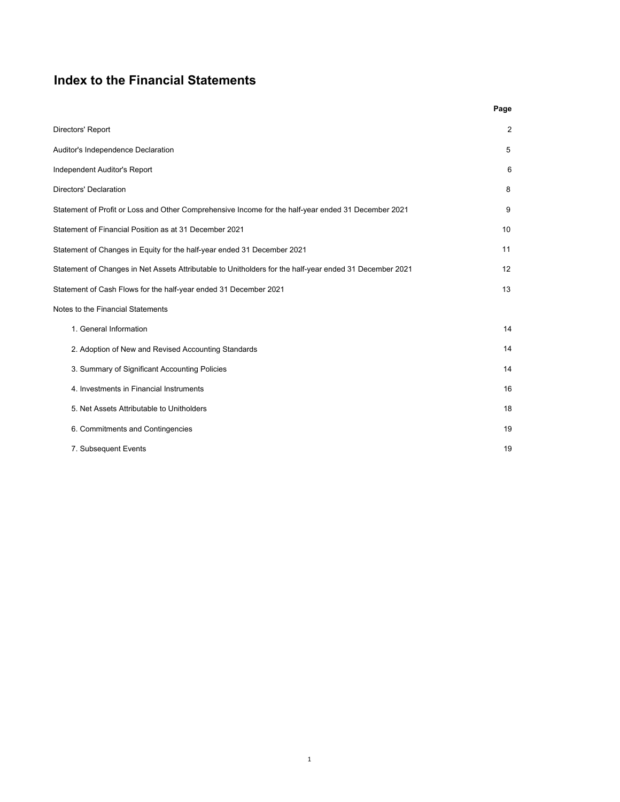# **Index to the Financial Statements**

|                                                                                                         | Page           |
|---------------------------------------------------------------------------------------------------------|----------------|
| Directors' Report                                                                                       | $\overline{2}$ |
| Auditor's Independence Declaration                                                                      | 5              |
| Independent Auditor's Report                                                                            | 6              |
| <b>Directors' Declaration</b>                                                                           | 8              |
| Statement of Profit or Loss and Other Comprehensive Income for the half-year ended 31 December 2021     | 9              |
| Statement of Financial Position as at 31 December 2021                                                  | 10             |
| Statement of Changes in Equity for the half-year ended 31 December 2021                                 | 11             |
| Statement of Changes in Net Assets Attributable to Unitholders for the half-year ended 31 December 2021 | 12             |
| Statement of Cash Flows for the half-year ended 31 December 2021                                        | 13             |
| Notes to the Financial Statements                                                                       |                |
| 1. General Information                                                                                  | 14             |
| 2. Adoption of New and Revised Accounting Standards                                                     | 14             |
| 3. Summary of Significant Accounting Policies                                                           | 14             |
| 4. Investments in Financial Instruments                                                                 | 16             |
| 5. Net Assets Attributable to Unitholders                                                               | 18             |
| 6. Commitments and Contingencies                                                                        | 19             |
| 7. Subsequent Events                                                                                    | 19             |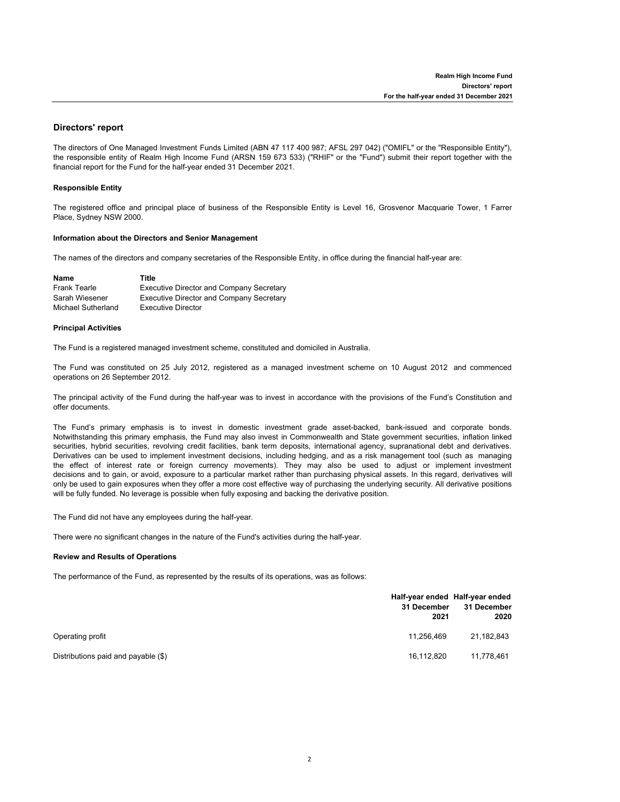# **Directors' report**

The directors of One Managed Investment Funds Limited (ABN 47 117 400 987; AFSL 297 042) ("OMIFL" or the "Responsible Entity"), the responsible entity of Realm High Income Fund (ARSN 159 673 533) ("RHIF" or the "Fund") submit their report together with the financial report for the Fund for the half-year ended 31 December 2021.

## **Responsible Entity**

The registered office and principal place of business of the Responsible Entity is Level 16, Grosvenor Macquarie Tower, 1 Farrer Place, Sydney NSW 2000.

## **Information about the Directors and Senior Management**

The names of the directors and company secretaries of the Responsible Entity, in office during the financial half-year are:

| Name                | Title                                           |
|---------------------|-------------------------------------------------|
| <b>Frank Tearle</b> | <b>Executive Director and Company Secretary</b> |
| Sarah Wiesener      | <b>Executive Director and Company Secretary</b> |
| Michael Sutherland  | Executive Director                              |

# **Principal Activities**

The Fund is a registered managed investment scheme, constituted and domiciled in Australia.

The Fund was constituted on 25 July 2012, registered as a managed investment scheme on 10 August 2012 and commenced operations on 26 September 2012.

The principal activity of the Fund during the half-year was to invest in accordance with the provisions of the Fund's Constitution and offer documents.

The Fund's primary emphasis is to invest in domestic investment grade asset-backed, bank-issued and corporate bonds. Notwithstanding this primary emphasis, the Fund may also invest in Commonwealth and State government securities, inflation linked securities, hybrid securities, revolving credit facilities, bank term deposits, international agency, supranational debt and derivatives. Derivatives can be used to implement investment decisions, including hedging, and as a risk management tool (such as managing the effect of interest rate or foreign currency movements). They may also be used to adjust or implement investment decisions and to gain, or avoid, exposure to a particular market rather than purchasing physical assets. In this regard, derivatives will only be used to gain exposures when they offer a more cost effective way of purchasing the underlying security. All derivative positions will be fully funded. No leverage is possible when fully exposing and backing the derivative position.

The Fund did not have any employees during the half-year.

There were no significant changes in the nature of the Fund's activities during the half-year.

# **Review and Results of Operations**

The performance of the Fund, as represented by the results of its operations, was as follows:

|                                     | 31 December<br>2021 | Half-year ended Half-year ended<br>31 December<br>2020 |
|-------------------------------------|---------------------|--------------------------------------------------------|
| Operating profit                    | 11.256.469          | 21,182,843                                             |
| Distributions paid and payable (\$) | 16,112,820          | 11,778,461                                             |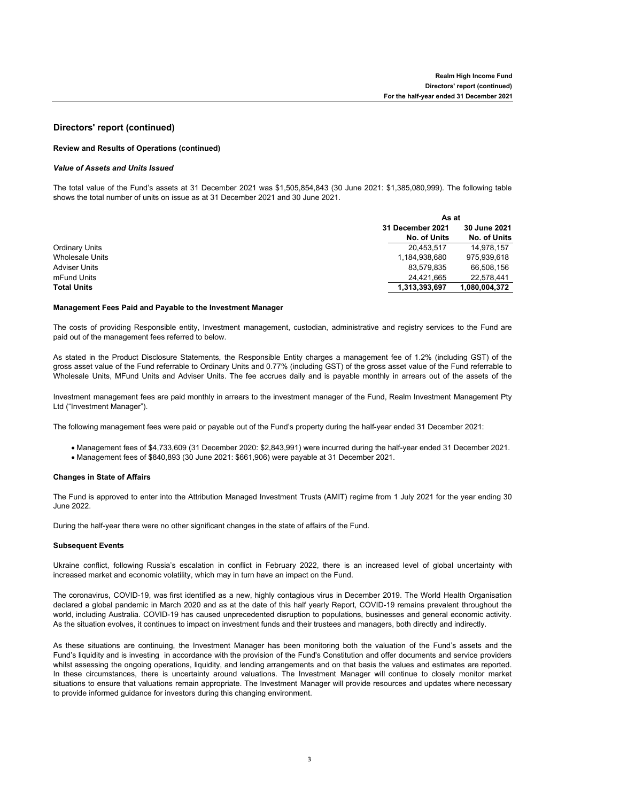# **Directors' report (continued)**

# **Review and Results of Operations (continued)**

# *Value of Assets and Units Issued*

The total value of the Fund's assets at 31 December 2021 was \$1,505,854,843 (30 June 2021: \$1,385,080,999). The following table shows the total number of units on issue as at 31 December 2021 and 30 June 2021.

|                        |                  | As at               |  |  |
|------------------------|------------------|---------------------|--|--|
|                        | 31 December 2021 | <b>30 June 2021</b> |  |  |
|                        | No. of Units     | No. of Units        |  |  |
| Ordinary Units         | 20.453.517       | 14.978.157          |  |  |
| <b>Wholesale Units</b> | 1,184,938,680    | 975.939.618         |  |  |
| <b>Adviser Units</b>   | 83.579.835       | 66.508.156          |  |  |
| mFund Units            | 24,421,665       | 22.578.441          |  |  |
| <b>Total Units</b>     | 1.313.393.697    | 1.080.004.372       |  |  |

# **Management Fees Paid and Payable to the Investment Manager**

The costs of providing Responsible entity, Investment management, custodian, administrative and registry services to the Fund are paid out of the management fees referred to below.

As stated in the Product Disclosure Statements, the Responsible Entity charges a management fee of 1.2% (including GST) of the gross asset value of the Fund referrable to Ordinary Units and 0.77% (including GST) of the gross asset value of the Fund referrable to Wholesale Units, MFund Units and Adviser Units. The fee accrues daily and is payable monthly in arrears out of the assets of the

Investment management fees are paid monthly in arrears to the investment manager of the Fund, Realm Investment Management Pty Ltd ("Investment Manager").

The following management fees were paid or payable out of the Fund's property during the half-year ended 31 December 2021:

- Management fees of \$4,733,609 (31 December 2020: \$2,843,991) were incurred during the half-year ended 31 December 2021.
- Management fees of \$840,893 (30 June 2021: \$661,906) were payable at 31 December 2021.

# **Changes in State of Affairs**

Fund.

The Fund is approved to enter into the Attribution Managed Investment Trusts (AMIT) regime from 1 July 2021 for the year ending 30 June 2022.

During the half-year there were no other significant changes in the state of affairs of the Fund.

### **Subsequent Events**

Ukraine conflict, following Russia's escalation in conflict in February 2022, there is an increased level of global uncertainty with increased market and economic volatility, which may in turn have an impact on the Fund.

The coronavirus, COVID-19, was first identified as a new, highly contagious virus in December 2019. The World Health Organisation declared a global pandemic in March 2020 and as at the date of this half yearly Report, COVID-19 remains prevalent throughout the world, including Australia. COVID-19 has caused unprecedented disruption to populations, businesses and general economic activity. As the situation evolves, it continues to impact on investment funds and their trustees and managers, both directly and indirectly.

As these situations are continuing, the Investment Manager has been monitoring both the valuation of the Fund's assets and the Fund's liquidity and is investing in accordance with the provision of the Fund's Constitution and offer documents and service providers whilst assessing the ongoing operations, liquidity, and lending arrangements and on that basis the values and estimates are reported. In these circumstances, there is uncertainty around valuations. The Investment Manager will continue to closely monitor market situations to ensure that valuations remain appropriate. The Investment Manager will provide resources and updates where necessary to provide informed guidance for investors during this changing environment.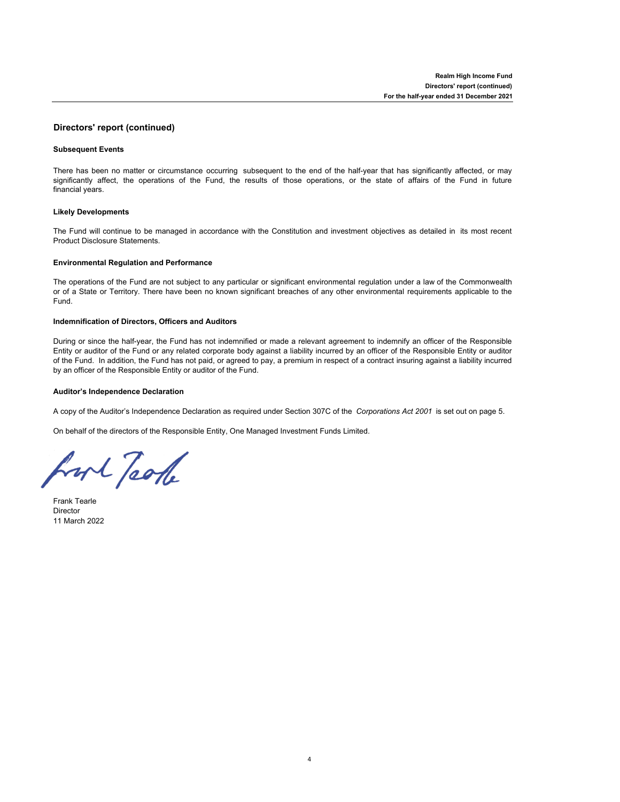# **Directors' report (continued)**

# **Subsequent Events**

There has been no matter or circumstance occurring subsequent to the end of the half-year that has significantly affected, or may significantly affect, the operations of the Fund, the results of those operations, or the state of affairs of the Fund in future financial years.

# **Likely Developments**

The Fund will continue to be managed in accordance with the Constitution and investment objectives as detailed in its most recent Product Disclosure Statements.

# **Environmental Regulation and Performance**

The operations of the Fund are not subject to any particular or significant environmental regulation under a law of the Commonwealth or of a State or Territory. There have been no known significant breaches of any other environmental requirements applicable to the Fund.

## **Indemnification of Directors, Officers and Auditors**

During or since the half-year, the Fund has not indemnified or made a relevant agreement to indemnify an officer of the Responsible Entity or auditor of the Fund or any related corporate body against a liability incurred by an officer of the Responsible Entity or auditor of the Fund. In addition, the Fund has not paid, or agreed to pay, a premium in respect of a contract insuring against a liability incurred by an officer of the Responsible Entity or auditor of the Fund.

# **Auditor's Independence Declaration**

A copy of the Auditor's Independence Declaration as required under Section 307C of the *Corporations Act 2001* is set out on page 5.

On behalf of the directors of the Responsible Entity, One Managed Investment Funds Limited.

hort Took

Frank Tearle Director 11 March 2022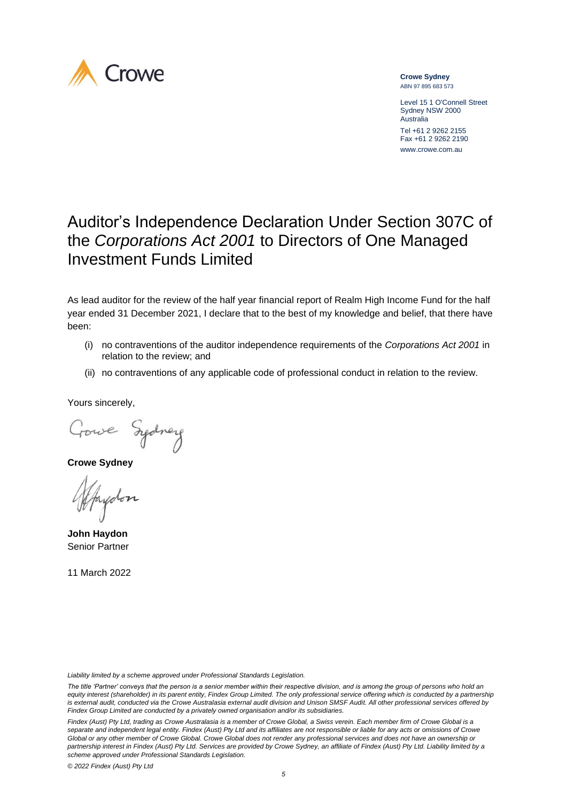

**Crowe Sydney** ABN 97 895 683 573

Level 15 1 O'Connell Street Sydney NSW 2000 Australia Tel +61 2 9262 2155

Fax +61 2 9262 2190 www.crowe.com.au

# Auditor's Independence Declaration Under Section 307C of the *Corporations Act 2001* to Directors of One Managed Investment Funds Limited

As lead auditor for the review of the half year financial report of Realm High Income Fund for the half year ended 31 December 2021, I declare that to the best of my knowledge and belief, that there have been:

- (i) no contraventions of the auditor independence requirements of the *Corporations Act 2001* in relation to the review; and
- (ii) no contraventions of any applicable code of professional conduct in relation to the review.

Yours sincerely,

Gowe Sydney

**Crowe Sydney**

ydon

**John Haydon** Senior Partner

11 March 2022

*Liability limited by a scheme approved under Professional Standards Legislation.*

*The title 'Partner' conveys that the person is a senior member within their respective division, and is among the group of persons who hold an*  equity interest (shareholder) in its parent entity, Findex Group Limited. The only professional service offering which is conducted by a partnership is external audit, conducted via the Crowe Australasia external audit division and Unison SMSF Audit. All other professional services offered by *Findex Group Limited are conducted by a privately owned organisation and/or its subsidiaries.*

*Findex (Aust) Pty Ltd, trading as Crowe Australasia is a member of Crowe Global, a Swiss verein. Each member firm of Crowe Global is a separate and independent legal entity. Findex (Aust) Pty Ltd and its affiliates are not responsible or liable for any acts or omissions of Crowe Global or any other member of Crowe Global. Crowe Global does not render any professional services and does not have an ownership or partnership interest in Findex (Aust) Pty Ltd. Services are provided by Crowe Sydney, an affiliate of Findex (Aust) Pty Ltd. Liability limited by a scheme approved under Professional Standards Legislation.*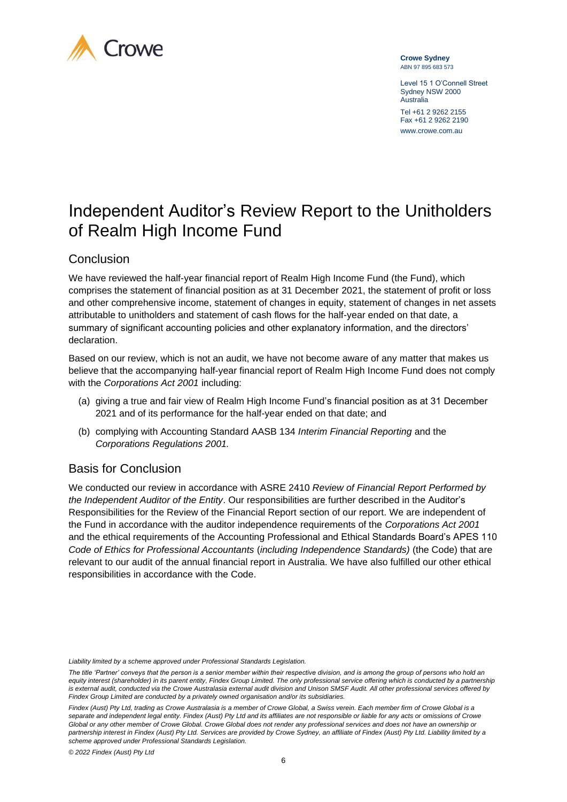

**Crowe Sydney** ABN 97 895 683 573

Level 15 1 O'Connell Street Sydney NSW 2000 Australia Tel +61 2 9262 2155 Fax +61 2 9262 2190 www.crowe.com.au

# Independent Auditor's Review Report to the Unitholders of Realm High Income Fund

# Conclusion

We have reviewed the half-year financial report of Realm High Income Fund (the Fund), which comprises the statement of financial position as at 31 December 2021, the statement of profit or loss and other comprehensive income, statement of changes in equity, statement of changes in net assets attributable to unitholders and statement of cash flows for the half-year ended on that date, a summary of significant accounting policies and other explanatory information, and the directors' declaration.

Based on our review, which is not an audit, we have not become aware of any matter that makes us believe that the accompanying half-year financial report of Realm High Income Fund does not comply with the *Corporations Act 2001* including:

- (a) giving a true and fair view of Realm High Income Fund's financial position as at 31 December 2021 and of its performance for the half-year ended on that date; and
- (b) complying with Accounting Standard AASB 134 *Interim Financial Reporting* and the *Corporations Regulations 2001.*

# Basis for Conclusion

We conducted our review in accordance with ASRE 2410 *Review of Financial Report Performed by the Independent Auditor of the Entity*. Our responsibilities are further described in the Auditor's Responsibilities for the Review of the Financial Report section of our report. We are independent of the Fund in accordance with the auditor independence requirements of the *Corporations Act 2001*  and the ethical requirements of the Accounting Professional and Ethical Standards Board's APES 110 *Code of Ethics for Professional Accountants* (*including Independence Standards)* (the Code) that are relevant to our audit of the annual financial report in Australia. We have also fulfilled our other ethical responsibilities in accordance with the Code.

*Liability limited by a scheme approved under Professional Standards Legislation.*

*The title 'Partner' conveys that the person is a senior member within their respective division, and is among the group of persons who hold an*  equity interest (shareholder) in its parent entity, Findex Group Limited. The only professional service offering which is conducted by a partnership *is external audit, conducted via the Crowe Australasia external audit division and Unison SMSF Audit. All other professional services offered by Findex Group Limited are conducted by a privately owned organisation and/or its subsidiaries.*

*Findex (Aust) Pty Ltd, trading as Crowe Australasia is a member of Crowe Global, a Swiss verein. Each member firm of Crowe Global is a separate and independent legal entity. Findex (Aust) Pty Ltd and its affiliates are not responsible or liable for any acts or omissions of Crowe Global or any other member of Crowe Global. Crowe Global does not render any professional services and does not have an ownership or*  partnership interest in Findex (Aust) Pty Ltd. Services are provided by Crowe Sydney, an affiliate of Findex (Aust) Pty Ltd. Liability limited by a *scheme approved under Professional Standards Legislation.*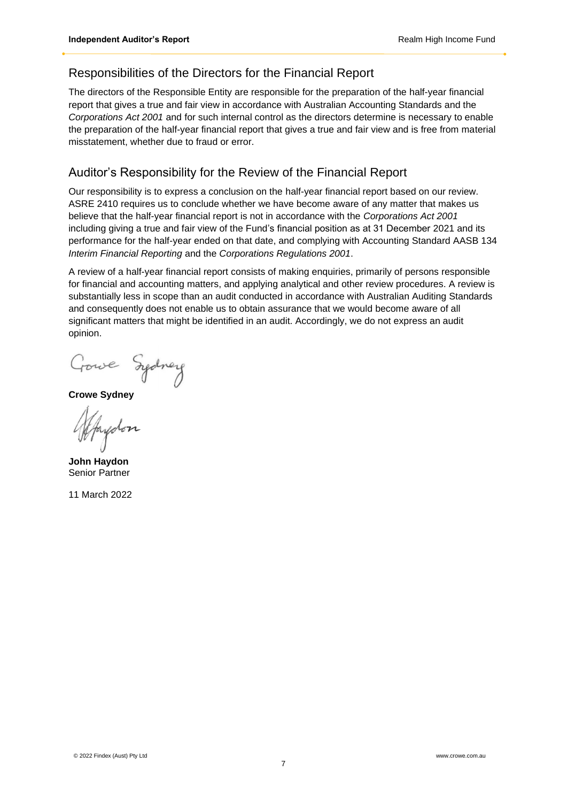# Responsibilities of the Directors for the Financial Report

The directors of the Responsible Entity are responsible for the preparation of the half-year financial report that gives a true and fair view in accordance with Australian Accounting Standards and the *Corporations Act 2001* and for such internal control as the directors determine is necessary to enable the preparation of the half-year financial report that gives a true and fair view and is free from material misstatement, whether due to fraud or error.

# Auditor's Responsibility for the Review of the Financial Report

Our responsibility is to express a conclusion on the half-year financial report based on our review. ASRE 2410 requires us to conclude whether we have become aware of any matter that makes us believe that the half-year financial report is not in accordance with the *Corporations Act 2001*  including giving a true and fair view of the Fund's financial position as at 31 December 2021 and its performance for the half-year ended on that date, and complying with Accounting Standard AASB 134 *Interim Financial Reporting* and the *Corporations Regulations 2001*.

A review of a half-year financial report consists of making enquiries, primarily of persons responsible for financial and accounting matters, and applying analytical and other review procedures. A review is substantially less in scope than an audit conducted in accordance with Australian Auditing Standards and consequently does not enable us to obtain assurance that we would become aware of all significant matters that might be identified in an audit. Accordingly, we do not express an audit opinion.

Gowe Sydney

**Crowe Sydney**

Jaydon

**John Haydon** Senior Partner

11 March 2022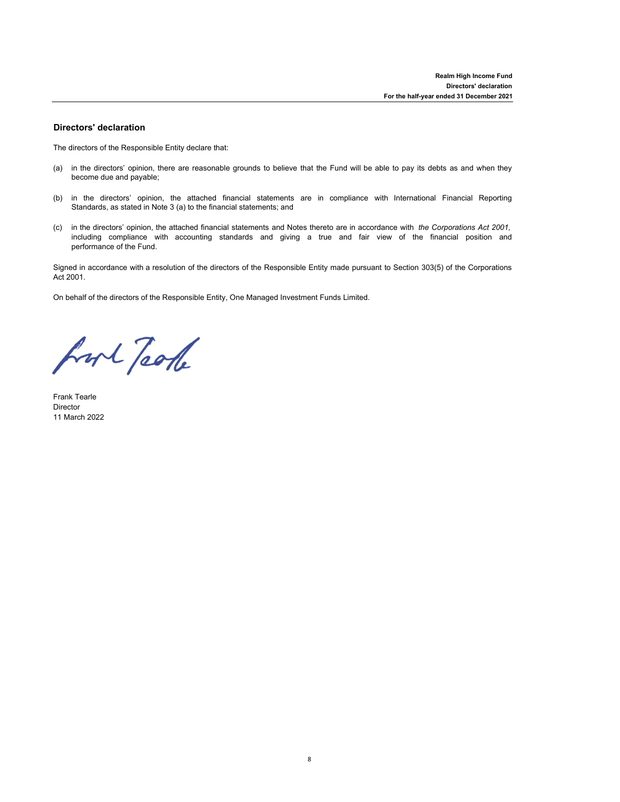# **Directors' declaration**

The directors of the Responsible Entity declare that:

- (a) in the directors' opinion, there are reasonable grounds to believe that the Fund will be able to pay its debts as and when they become due and payable;
- (b) in the directors' opinion, the attached financial statements are in compliance with International Financial Reporting Standards, as stated in Note 3 (a) to the financial statements; and
- (c) in the directors' opinion, the attached financial statements and Notes thereto are in accordance with *the Corporations Act 2001,* including compliance with accounting standards and giving a true and fair view of the financial position and performance of the Fund.

Signed in accordance with a resolution of the directors of the Responsible Entity made pursuant to Section 303(5) of the Corporations Act 2001.

On behalf of the directors of the Responsible Entity, One Managed Investment Funds Limited.

fort Took

Frank Tearle Director 11 March 2022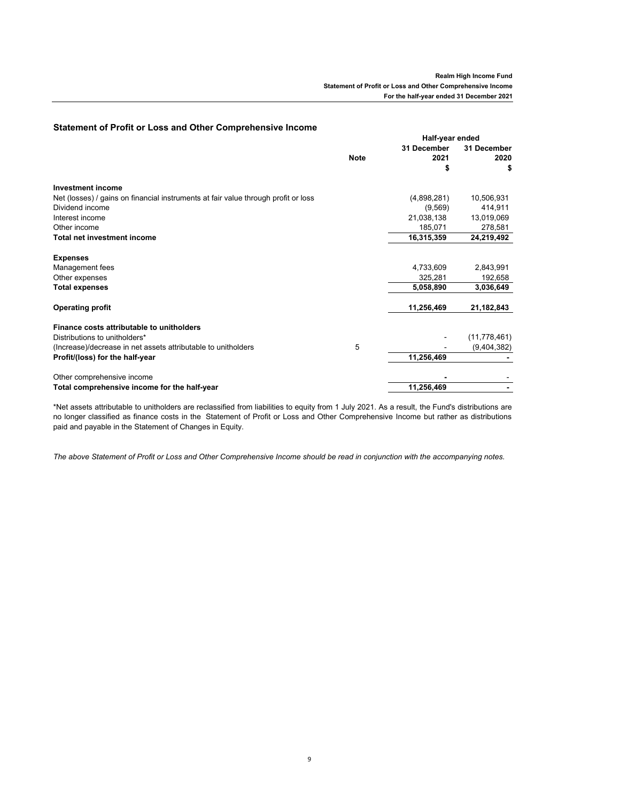| UNIUM UN TUM UT LUGU UNU UNIU UUMNUMUNG MUUMMU                                     |             |                 |                |
|------------------------------------------------------------------------------------|-------------|-----------------|----------------|
|                                                                                    |             | Half-year ended |                |
|                                                                                    |             | 31 December     | 31 December    |
|                                                                                    | <b>Note</b> | 2021            | 2020           |
|                                                                                    |             | S               | \$             |
| <b>Investment income</b>                                                           |             |                 |                |
| Net (losses) / gains on financial instruments at fair value through profit or loss |             | (4,898,281)     | 10,506,931     |
| Dividend income                                                                    |             | (9,569)         | 414,911        |
| Interest income                                                                    |             | 21,038,138      | 13,019,069     |
| Other income                                                                       |             | 185,071         | 278,581        |
| <b>Total net investment income</b>                                                 |             | 16,315,359      | 24,219,492     |
| <b>Expenses</b>                                                                    |             |                 |                |
| Management fees                                                                    |             | 4,733,609       | 2,843,991      |
| Other expenses                                                                     |             | 325.281         | 192,658        |
| <b>Total expenses</b>                                                              |             | 5,058,890       | 3,036,649      |
| <b>Operating profit</b>                                                            |             | 11,256,469      | 21,182,843     |
| Finance costs attributable to unitholders                                          |             |                 |                |
| Distributions to unitholders*                                                      |             |                 | (11, 778, 461) |
| (Increase)/decrease in net assets attributable to unitholders                      | 5           |                 | (9,404,382)    |
| Profit/(loss) for the half-year                                                    |             | 11,256,469      |                |
| Other comprehensive income                                                         |             |                 |                |
| Total comprehensive income for the half-year                                       |             | 11,256,469      |                |

# **Statement of Profit or Loss and Other Comprehensive Income**

\*Net assets attributable to unitholders are reclassified from liabilities to equity from 1 July 2021. As a result, the Fund's distributions are no longer classified as finance costs in the Statement of Profit or Loss and Other Comprehensive Income but rather as distributions paid and payable in the Statement of Changes in Equity.

*The above Statement of Profit or Loss and Other Comprehensive Income should be read in conjunction with the accompanying notes.*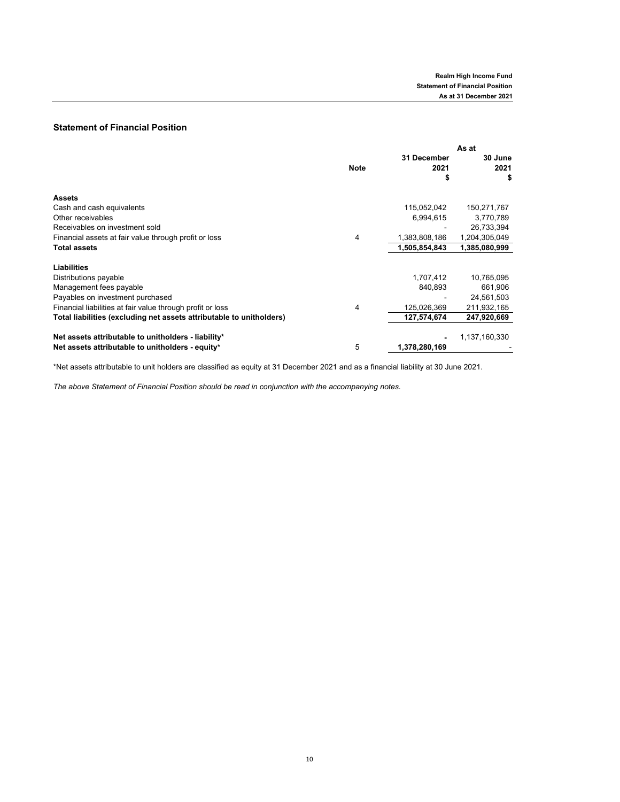# **Statement of Financial Position**

|                                                                      |             | As at               |                       |
|----------------------------------------------------------------------|-------------|---------------------|-----------------------|
|                                                                      | <b>Note</b> | 31 December<br>2021 | 30 June<br>2021<br>\$ |
| <b>Assets</b>                                                        |             |                     |                       |
| Cash and cash equivalents                                            |             | 115,052,042         | 150,271,767           |
| Other receivables                                                    |             | 6,994,615           | 3,770,789             |
| Receivables on investment sold                                       |             |                     | 26,733,394            |
| Financial assets at fair value through profit or loss                | 4           | 1,383,808,186       | 1,204,305,049         |
| <b>Total assets</b>                                                  |             | 1,505,854,843       | 1,385,080,999         |
| Liabilities                                                          |             |                     |                       |
| Distributions payable                                                |             | 1,707,412           | 10,765,095            |
| Management fees payable                                              |             | 840,893             | 661,906               |
| Payables on investment purchased                                     |             |                     | 24,561,503            |
| Financial liabilities at fair value through profit or loss           | 4           | 125,026,369         | 211,932,165           |
| Total liabilities (excluding net assets attributable to unitholders) |             | 127,574,674         | 247,920,669           |
| Net assets attributable to unitholders - liability*                  |             |                     | 1,137,160,330         |
| Net assets attributable to unitholders - equity*                     | 5           | 1,378,280,169       |                       |

\*Net assets attributable to unit holders are classified as equity at 31 December 2021 and as a financial liability at 30 June 2021.

*The above Statement of Financial Position should be read in conjunction with the accompanying notes.*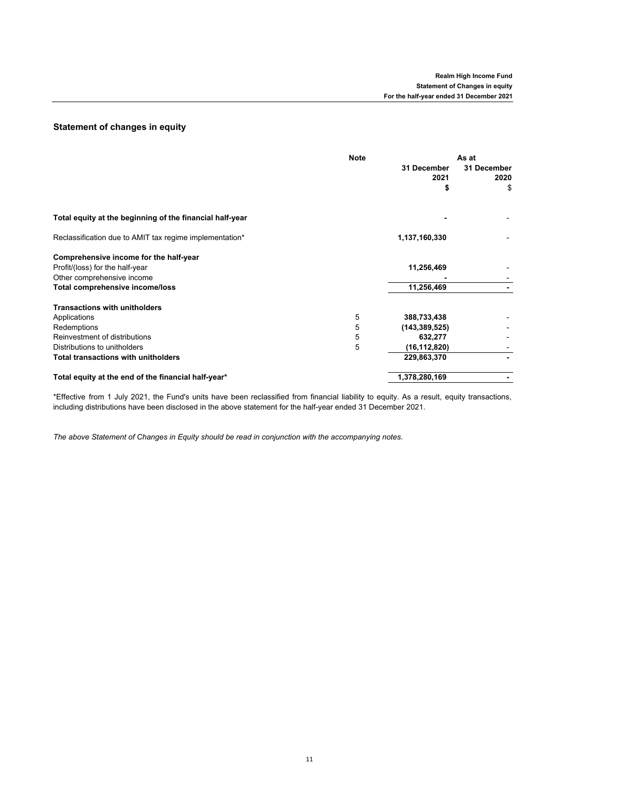# **Statement of changes in equity**

|                                                          | <b>Note</b> |                     | As at               |  |
|----------------------------------------------------------|-------------|---------------------|---------------------|--|
|                                                          |             | 31 December<br>2021 | 31 December<br>2020 |  |
|                                                          |             | \$                  | \$                  |  |
| Total equity at the beginning of the financial half-year |             |                     |                     |  |
| Reclassification due to AMIT tax regime implementation*  |             | 1,137,160,330       |                     |  |
| Comprehensive income for the half-year                   |             |                     |                     |  |
| Profit/(loss) for the half-year                          |             | 11,256,469          |                     |  |
| Other comprehensive income                               |             |                     |                     |  |
| Total comprehensive income/loss                          |             | 11,256,469          |                     |  |
| <b>Transactions with unitholders</b>                     |             |                     |                     |  |
| Applications                                             | 5           | 388,733,438         |                     |  |
| Redemptions                                              | 5           | (143, 389, 525)     |                     |  |
| Reinvestment of distributions                            | 5           | 632,277             |                     |  |
| Distributions to unitholders                             | 5           | (16, 112, 820)      |                     |  |
| <b>Total transactions with unitholders</b>               |             | 229,863,370         |                     |  |
| Total equity at the end of the financial half-year*      |             | 1,378,280,169       |                     |  |

\*Effective from 1 July 2021, the Fund's units have been reclassified from financial liability to equity. As a result, equity transactions, including distributions have been disclosed in the above statement for the half-year ended 31 December 2021.

*The above Statement of Changes in Equity should be read in conjunction with the accompanying notes.*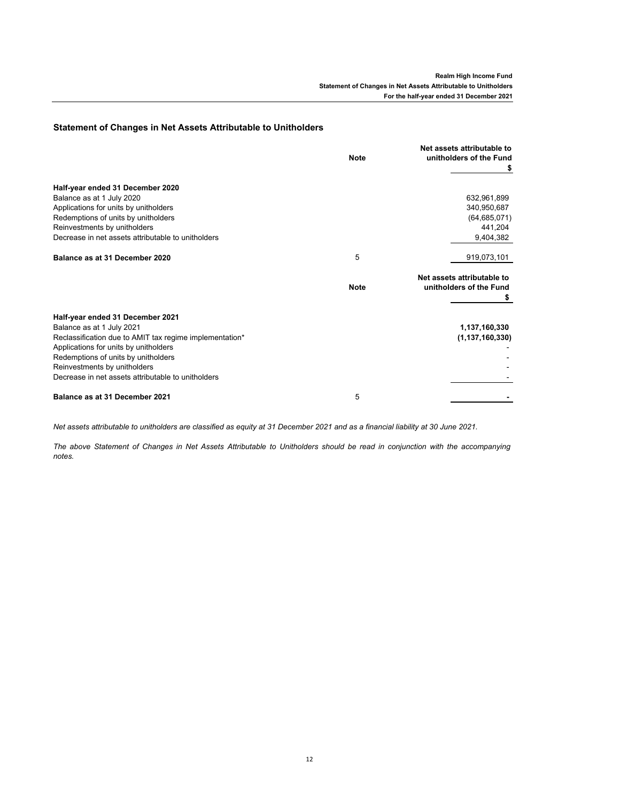# **Statement of Changes in Net Assets Attributable to Unitholders**

|                                                                                                                                                                                                                                                                                                | <b>Note</b> | Net assets attributable to<br>unitholders of the Fund<br>\$ |
|------------------------------------------------------------------------------------------------------------------------------------------------------------------------------------------------------------------------------------------------------------------------------------------------|-------------|-------------------------------------------------------------|
| Half-year ended 31 December 2020<br>Balance as at 1 July 2020                                                                                                                                                                                                                                  |             | 632,961,899                                                 |
| Applications for units by unitholders<br>Redemptions of units by unitholders<br>Reinvestments by unitholders                                                                                                                                                                                   |             | 340,950,687<br>(64, 685, 071)<br>441,204                    |
| Decrease in net assets attributable to unitholders                                                                                                                                                                                                                                             |             | 9.404.382                                                   |
| Balance as at 31 December 2020                                                                                                                                                                                                                                                                 | 5           | 919,073,101                                                 |
|                                                                                                                                                                                                                                                                                                | <b>Note</b> | Net assets attributable to<br>unitholders of the Fund       |
| Half-year ended 31 December 2021<br>Balance as at 1 July 2021<br>Reclassification due to AMIT tax regime implementation*<br>Applications for units by unitholders<br>Redemptions of units by unitholders<br>Reinvestments by unitholders<br>Decrease in net assets attributable to unitholders |             | 1,137,160,330<br>(1, 137, 160, 330)                         |
| Balance as at 31 December 2021                                                                                                                                                                                                                                                                 | 5           |                                                             |

*Net assets attributable to unitholders are classified as equity at 31 December 2021 and as a financial liability at 30 June 2021.*

*The above Statement of Changes in Net Assets Attributable to Unitholders should be read in conjunction with the accompanying notes.*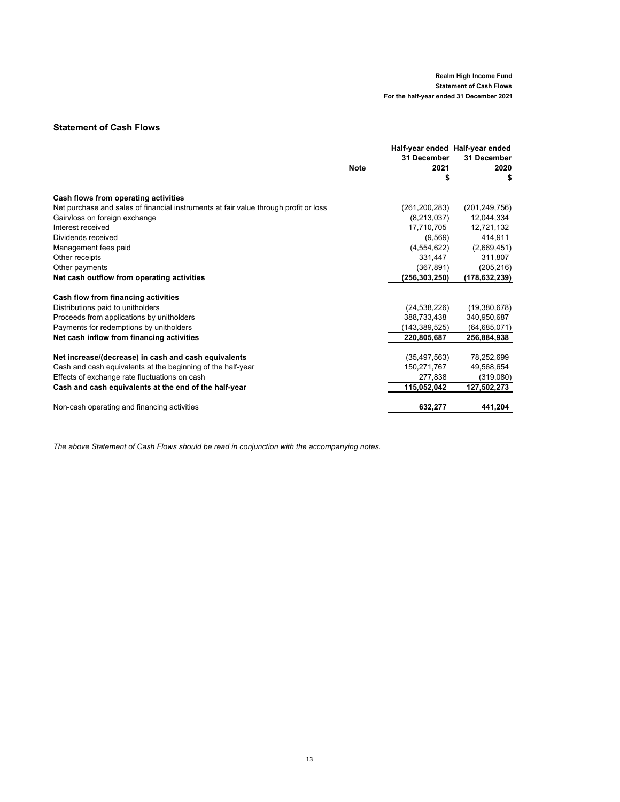# **Statement of Cash Flows**

|                                                                                      | <b>Note</b> | 31 December<br>2021 | Half-year ended Half-year ended<br>31 December<br>2020 |
|--------------------------------------------------------------------------------------|-------------|---------------------|--------------------------------------------------------|
|                                                                                      |             |                     |                                                        |
| Cash flows from operating activities                                                 |             |                     |                                                        |
| Net purchase and sales of financial instruments at fair value through profit or loss |             | (261, 200, 283)     | (201, 249, 756)                                        |
| Gain/loss on foreign exchange                                                        |             | (8,213,037)         | 12,044,334                                             |
| Interest received                                                                    |             | 17,710,705          | 12,721,132                                             |
| Dividends received                                                                   |             | (9,569)             | 414,911                                                |
| Management fees paid                                                                 |             | (4,554,622)         | (2,669,451)                                            |
| Other receipts                                                                       |             | 331,447             | 311,807                                                |
| Other payments                                                                       |             | (367, 891)          | (205, 216)                                             |
| Net cash outflow from operating activities                                           |             | (256,303,250)       | (178,632,239)                                          |
| Cash flow from financing activities                                                  |             |                     |                                                        |
| Distributions paid to unitholders                                                    |             | (24, 538, 226)      | (19,380,678)                                           |
| Proceeds from applications by unitholders                                            |             | 388.733.438         | 340,950,687                                            |
| Payments for redemptions by unitholders                                              |             | (143,389,525)       | (64, 685, 071)                                         |
| Net cash inflow from financing activities                                            |             | 220,805,687         | 256.884.938                                            |
| Net increase/(decrease) in cash and cash equivalents                                 |             | (35, 497, 563)      | 78,252,699                                             |
| Cash and cash equivalents at the beginning of the half-year                          |             | 150,271,767         | 49,568,654                                             |
| Effects of exchange rate fluctuations on cash                                        |             | 277,838             | (319,080)                                              |
| Cash and cash equivalents at the end of the half-year                                |             | 115,052,042         | 127,502,273                                            |
| Non-cash operating and financing activities                                          |             | 632,277             | 441,204                                                |

*The above Statement of Cash Flows should be read in conjunction with the accompanying notes.*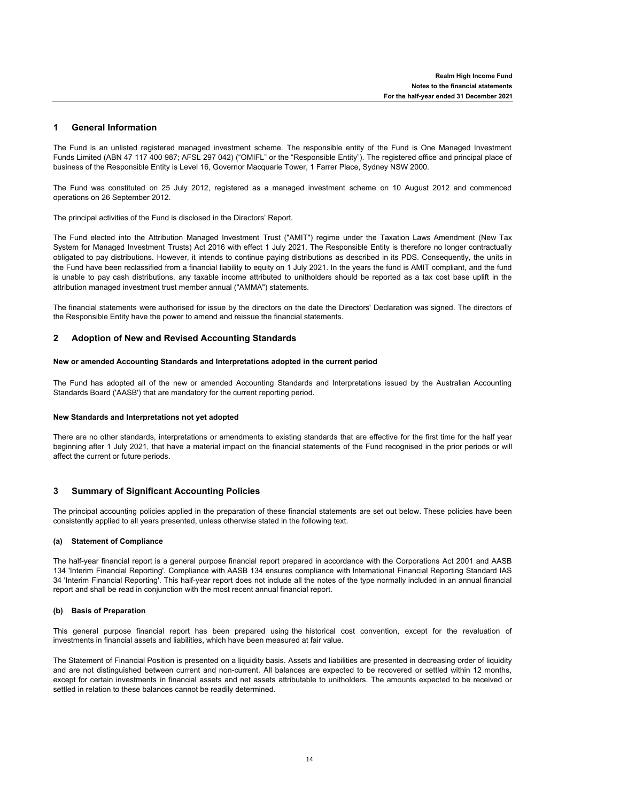#### **1 General Information**

The Fund is an unlisted registered managed investment scheme. The responsible entity of the Fund is One Managed Investment Funds Limited (ABN 47 117 400 987; AFSL 297 042) ("OMIFL" or the "Responsible Entity"). The registered office and principal place of business of the Responsible Entity is Level 16, Governor Macquarie Tower, 1 Farrer Place, Sydney NSW 2000.

The Fund was constituted on 25 July 2012, registered as a managed investment scheme on 10 August 2012 and commenced operations on 26 September 2012.

The principal activities of the Fund is disclosed in the Directors' Report.

The Fund elected into the Attribution Managed Investment Trust ("AMIT") regime under the Taxation Laws Amendment (New Tax System for Managed Investment Trusts) Act 2016 with effect 1 July 2021. The Responsible Entity is therefore no longer contractually obligated to pay distributions. However, it intends to continue paying distributions as described in its PDS. Consequently, the units in the Fund have been reclassified from a financial liability to equity on 1 July 2021. In the years the fund is AMIT compliant, and the fund is unable to pay cash distributions, any taxable income attributed to unitholders should be reported as a tax cost base uplift in the attribution managed investment trust member annual ("AMMA") statements.

The financial statements were authorised for issue by the directors on the date the Directors' Declaration was signed. The directors of the Responsible Entity have the power to amend and reissue the financial statements.

#### **2 Adoption of New and Revised Accounting Standards**

# **New or amended Accounting Standards and Interpretations adopted in the current period**

The Fund has adopted all of the new or amended Accounting Standards and Interpretations issued by the Australian Accounting Standards Board ('AASB') that are mandatory for the current reporting period.

# **New Standards and Interpretations not yet adopted**

There are no other standards, interpretations or amendments to existing standards that are effective for the first time for the half year beginning after 1 July 2021, that have a material impact on the financial statements of the Fund recognised in the prior periods or will affect the current or future periods.

#### **3 Summary of Significant Accounting Policies**

The principal accounting policies applied in the preparation of these financial statements are set out below. These policies have been consistently applied to all years presented, unless otherwise stated in the following text.

# **(a) Statement of Compliance**

The half-year financial report is a general purpose financial report prepared in accordance with the Corporations Act 2001 and AASB 134 'Interim Financial Reporting'. Compliance with AASB 134 ensures compliance with International Financial Reporting Standard IAS 34 'Interim Financial Reporting'. This half-year report does not include all the notes of the type normally included in an annual financial report and shall be read in conjunction with the most recent annual financial report.

# **(b) Basis of Preparation**

This general purpose financial report has been prepared using the historical cost convention, except for the revaluation of investments in financial assets and liabilities, which have been measured at fair value.

The Statement of Financial Position is presented on a liquidity basis. Assets and liabilities are presented in decreasing order of liquidity and are not distinguished between current and non-current. All balances are expected to be recovered or settled within 12 months, except for certain investments in financial assets and net assets attributable to unitholders. The amounts expected to be received or settled in relation to these balances cannot be readily determined.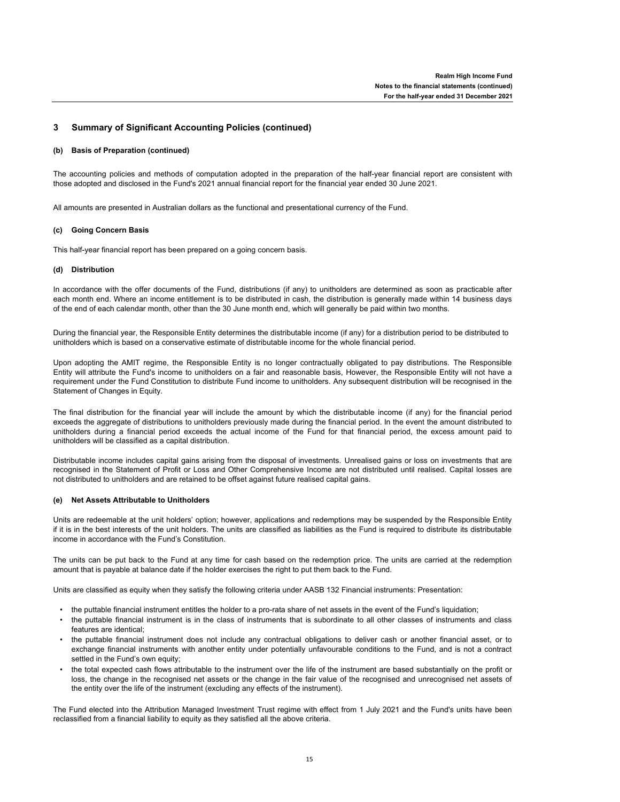#### **3 Summary of Significant Accounting Policies (continued)**

#### **(b) Basis of Preparation (continued)**

The accounting policies and methods of computation adopted in the preparation of the half-year financial report are consistent with those adopted and disclosed in the Fund's 2021 annual financial report for the financial year ended 30 June 2021.

All amounts are presented in Australian dollars as the functional and presentational currency of the Fund.

# **(c) Going Concern Basis**

This half-year financial report has been prepared on a going concern basis.

# **(d) Distribution**

In accordance with the offer documents of the Fund, distributions (if any) to unitholders are determined as soon as practicable after each month end. Where an income entitlement is to be distributed in cash, the distribution is generally made within 14 business days of the end of each calendar month, other than the 30 June month end, which will generally be paid within two months.

During the financial year, the Responsible Entity determines the distributable income (if any) for a distribution period to be distributed to unitholders which is based on a conservative estimate of distributable income for the whole financial period.

Upon adopting the AMIT regime, the Responsible Entity is no longer contractually obligated to pay distributions. The Responsible Entity will attribute the Fund's income to unitholders on a fair and reasonable basis, However, the Responsible Entity will not have a requirement under the Fund Constitution to distribute Fund income to unitholders. Any subsequent distribution will be recognised in the Statement of Changes in Equity.

The final distribution for the financial year will include the amount by which the distributable income (if any) for the financial period exceeds the aggregate of distributions to unitholders previously made during the financial period. In the event the amount distributed to unitholders during a financial period exceeds the actual income of the Fund for that financial period, the excess amount paid to unitholders will be classified as a capital distribution.

Distributable income includes capital gains arising from the disposal of investments. Unrealised gains or loss on investments that are recognised in the Statement of Profit or Loss and Other Comprehensive Income are not distributed until realised. Capital losses are not distributed to unitholders and are retained to be offset against future realised capital gains.

# **(e) Net Assets Attributable to Unitholders**

Units are redeemable at the unit holders' option; however, applications and redemptions may be suspended by the Responsible Entity if it is in the best interests of the unit holders. The units are classified as liabilities as the Fund is required to distribute its distributable income in accordance with the Fund's Constitution.

The units can be put back to the Fund at any time for cash based on the redemption price. The units are carried at the redemption amount that is payable at balance date if the holder exercises the right to put them back to the Fund.

Units are classified as equity when they satisfy the following criteria under AASB 132 Financial instruments: Presentation:

- the puttable financial instrument entitles the holder to a pro-rata share of net assets in the event of the Fund's liquidation;
- the puttable financial instrument is in the class of instruments that is subordinate to all other classes of instruments and class features are identical;
- the puttable financial instrument does not include any contractual obligations to deliver cash or another financial asset, or to exchange financial instruments with another entity under potentially unfavourable conditions to the Fund, and is not a contract settled in the Fund's own equity;
- the total expected cash flows attributable to the instrument over the life of the instrument are based substantially on the profit or loss, the change in the recognised net assets or the change in the fair value of the recognised and unrecognised net assets of the entity over the life of the instrument (excluding any effects of the instrument).

The Fund elected into the Attribution Managed Investment Trust regime with effect from 1 July 2021 and the Fund's units have been reclassified from a financial liability to equity as they satisfied all the above criteria.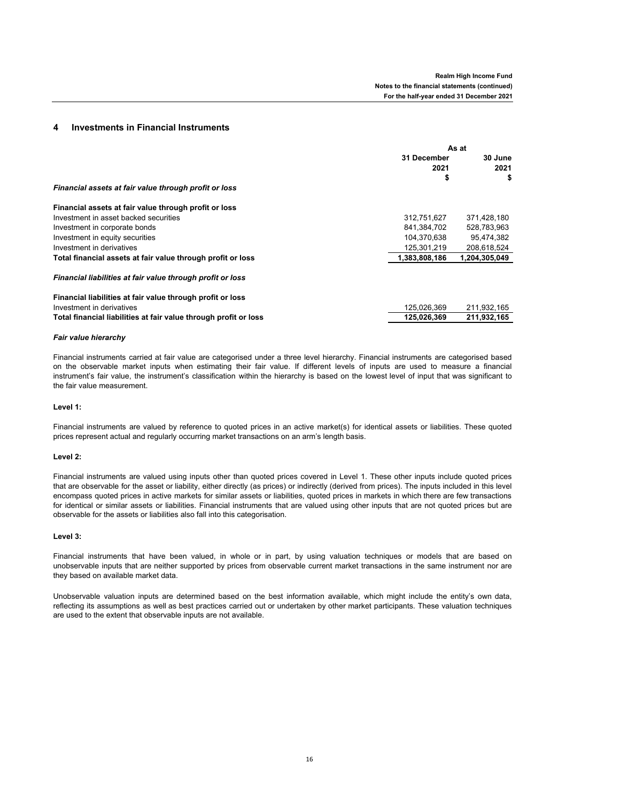# **4 Investments in Financial Instruments**

|                                                                  | As at         |               |  |
|------------------------------------------------------------------|---------------|---------------|--|
|                                                                  | 31 December   | 30 June       |  |
|                                                                  | 2021          | 2021          |  |
|                                                                  | \$            | \$            |  |
| Financial assets at fair value through profit or loss            |               |               |  |
| Financial assets at fair value through profit or loss            |               |               |  |
| Investment in asset backed securities                            | 312,751,627   | 371,428,180   |  |
| Investment in corporate bonds                                    | 841,384,702   | 528,783,963   |  |
| Investment in equity securities                                  | 104,370,638   | 95,474,382    |  |
| Investment in derivatives                                        | 125,301,219   | 208,618,524   |  |
| Total financial assets at fair value through profit or loss      | 1,383,808,186 | 1,204,305,049 |  |
| Financial liabilities at fair value through profit or loss       |               |               |  |
| Financial liabilities at fair value through profit or loss       |               |               |  |
| Investment in derivatives                                        | 125,026,369   | 211,932,165   |  |
| Total financial liabilities at fair value through profit or loss | 125,026,369   | 211,932,165   |  |

## *Fair value hierarchy*

Financial instruments carried at fair value are categorised under a three level hierarchy. Financial instruments are categorised based on the observable market inputs when estimating their fair value. If different levels of inputs are used to measure a financial instrument's fair value, the instrument's classification within the hierarchy is based on the lowest level of input that was significant to the fair value measurement.

# **Level 1:**

Financial instruments are valued by reference to quoted prices in an active market(s) for identical assets or liabilities. These quoted prices represent actual and regularly occurring market transactions on an arm's length basis.

### **Level 2:**

Financial instruments are valued using inputs other than quoted prices covered in Level 1. These other inputs include quoted prices that are observable for the asset or liability, either directly (as prices) or indirectly (derived from prices). The inputs included in this level encompass quoted prices in active markets for similar assets or liabilities, quoted prices in markets in which there are few transactions for identical or similar assets or liabilities. Financial instruments that are valued using other inputs that are not quoted prices but are observable for the assets or liabilities also fall into this categorisation.

### **Level 3:**

Financial instruments that have been valued, in whole or in part, by using valuation techniques or models that are based on unobservable inputs that are neither supported by prices from observable current market transactions in the same instrument nor are they based on available market data.

Unobservable valuation inputs are determined based on the best information available, which might include the entity's own data, reflecting its assumptions as well as best practices carried out or undertaken by other market participants. These valuation techniques are used to the extent that observable inputs are not available.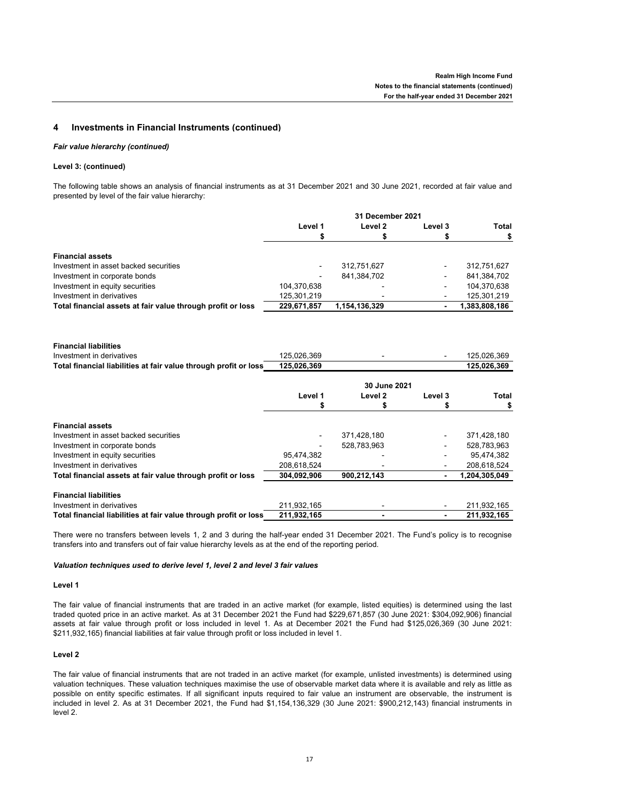# **4 Investments in Financial Instruments (continued)**

### *Fair value hierarchy (continued)*

# **Level 3: (continued)**

The following table shows an analysis of financial instruments as at 31 December 2021 and 30 June 2021, recorded at fair value and presented by level of the fair value hierarchy:

|                                                                  |             | 31 December 2021   |         |               |
|------------------------------------------------------------------|-------------|--------------------|---------|---------------|
|                                                                  | Level 1     | Level <sub>2</sub> | Level 3 | <b>Total</b>  |
|                                                                  | \$          | \$                 | \$      | \$            |
| <b>Financial assets</b>                                          |             |                    |         |               |
| Investment in asset backed securities                            |             | 312,751,627        |         | 312,751,627   |
| Investment in corporate bonds                                    |             | 841,384,702        |         | 841,384,702   |
| Investment in equity securities                                  | 104,370,638 |                    |         | 104,370,638   |
| Investment in derivatives                                        | 125,301,219 |                    |         | 125,301,219   |
| Total financial assets at fair value through profit or loss      | 229,671,857 | 1,154,136,329      |         | 1,383,808,186 |
|                                                                  |             |                    |         |               |
| <b>Financial liabilities</b>                                     |             |                    |         |               |
| Investment in derivatives                                        | 125,026,369 |                    |         | 125,026,369   |
| Total financial liabilities at fair value through profit or loss | 125,026,369 |                    |         | 125,026,369   |
|                                                                  |             | 30 June 2021       |         |               |
|                                                                  | Level 1     | Level <sub>2</sub> | Level 3 | <b>Total</b>  |
|                                                                  |             |                    | \$      | S             |
|                                                                  |             |                    |         |               |
| <b>Financial assets</b>                                          |             |                    |         |               |
| Investment in asset backed securities                            |             | 371,428,180        |         | 371,428,180   |
| Investment in corporate bonds                                    |             | 528,783,963        |         | 528,783,963   |
| Investment in equity securities                                  | 95,474,382  |                    |         | 95,474,382    |
| Investment in derivatives                                        | 208,618,524 |                    |         | 208,618,524   |
| Total financial assets at fair value through profit or loss      | 304,092,906 | 900,212,143        |         | 1,204,305,049 |
| <b>Financial liabilities</b>                                     |             |                    |         |               |
| Investment in derivatives                                        | 211,932,165 |                    |         | 211,932,165   |
| Total financial liabilities at fair value through profit or loss | 211,932,165 |                    |         | 211,932,165   |

There were no transfers between levels 1, 2 and 3 during the half-year ended 31 December 2021. The Fund's policy is to recognise transfers into and transfers out of fair value hierarchy levels as at the end of the reporting period.

# *Valuation techniques used to derive level 1, level 2 and level 3 fair values*

# **Level 1**

The fair value of financial instruments that are traded in an active market (for example, listed equities) is determined using the last traded quoted price in an active market. As at 31 December 2021 the Fund had \$229,671,857 (30 June 2021: \$304,092,906) financial assets at fair value through profit or loss included in level 1. As at December 2021 the Fund had \$125,026,369 (30 June 2021: \$211,932,165) financial liabilities at fair value through profit or loss included in level 1.

# **Level 2**

The fair value of financial instruments that are not traded in an active market (for example, unlisted investments) is determined using valuation techniques. These valuation techniques maximise the use of observable market data where it is available and rely as little as possible on entity specific estimates. If all significant inputs required to fair value an instrument are observable, the instrument is included in level 2. As at 31 December 2021, the Fund had \$1,154,136,329 (30 June 2021: \$900,212,143) financial instruments in level 2.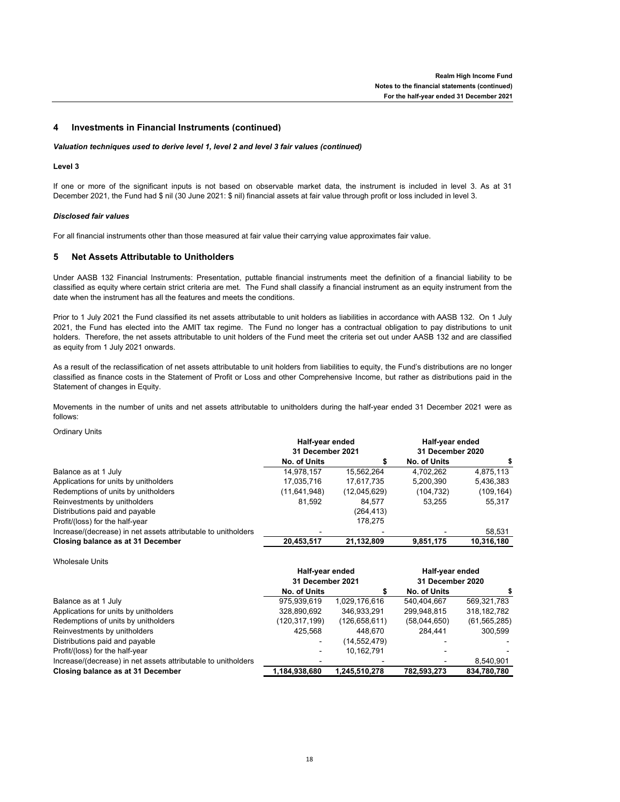# **4 Investments in Financial Instruments (continued)**

# *Valuation techniques used to derive level 1, level 2 and level 3 fair values (continued)*

# **Level 3**

If one or more of the significant inputs is not based on observable market data, the instrument is included in level 3. As at 31 December 2021, the Fund had \$ nil (30 June 2021: \$ nil) financial assets at fair value through profit or loss included in level 3.

## *Disclosed fair values*

For all financial instruments other than those measured at fair value their carrying value approximates fair value.

#### **5 Net Assets Attributable to Unitholders**

Under AASB 132 Financial Instruments: Presentation, puttable financial instruments meet the definition of a financial liability to be classified as equity where certain strict criteria are met. The Fund shall classify a financial instrument as an equity instrument from the date when the instrument has all the features and meets the conditions.

Prior to 1 July 2021 the Fund classified its net assets attributable to unit holders as liabilities in accordance with AASB 132. On 1 July 2021, the Fund has elected into the AMIT tax regime. The Fund no longer has a contractual obligation to pay distributions to unit holders. Therefore, the net assets attributable to unit holders of the Fund meet the criteria set out under AASB 132 and are classified as equity from 1 July 2021 onwards.

As a result of the reclassification of net assets attributable to unit holders from liabilities to equity, the Fund's distributions are no longer classified as finance costs in the Statement of Profit or Loss and other Comprehensive Income, but rather as distributions paid in the Statement of changes in Equity.

Movements in the number of units and net assets attributable to unitholders during the half-year ended 31 December 2021 were as follows:

Ordinary Units

|                                                               | Half-year ended<br>31 December 2021 |              | Half-year ended<br>31 December 2020 |            |
|---------------------------------------------------------------|-------------------------------------|--------------|-------------------------------------|------------|
|                                                               |                                     |              |                                     |            |
|                                                               | No. of Units                        |              | No. of Units                        |            |
| Balance as at 1 July                                          | 14,978,157                          | 15,562,264   | 4.702.262                           | 4,875,113  |
| Applications for units by unitholders                         | 17,035,716                          | 17,617,735   | 5,200,390                           | 5,436,383  |
| Redemptions of units by unitholders                           | (11,641,948)                        | (12,045,629) | (104, 732)                          | (109, 164) |
| Reinvestments by unitholders                                  | 81,592                              | 84.577       | 53.255                              | 55.317     |
| Distributions paid and payable                                |                                     | (264, 413)   |                                     |            |
| Profit/(loss) for the half-year                               |                                     | 178.275      |                                     |            |
| Increase/(decrease) in net assets attributable to unitholders |                                     |              |                                     | 58,531     |
| Closing balance as at 31 December                             | 20,453,517                          | 21,132,809   | 9,851,175                           | 10,316,180 |

Wholesale Units

|                                                               | Half-year ended<br>31 December 2021 |                 | Half-year ended<br>31 December 2020 |                |
|---------------------------------------------------------------|-------------------------------------|-----------------|-------------------------------------|----------------|
|                                                               |                                     |                 |                                     |                |
|                                                               | No. of Units                        |                 | No. of Units                        |                |
| Balance as at 1 July                                          | 975,939,619                         | 1.029.176.616   | 540.404.667                         | 569.321.783    |
| Applications for units by unitholders                         | 328,890,692                         | 346.933.291     | 299,948,815                         | 318, 182, 782  |
| Redemptions of units by unitholders                           | (120,317,199)                       | (126, 658, 611) | (58,044,650)                        | (61, 565, 285) |
| Reinvestments by unitholders                                  | 425.568                             | 448.670         | 284.441                             | 300.599        |
| Distributions paid and payable                                |                                     | (14,552,479)    |                                     |                |
| Profit/(loss) for the half-year                               |                                     | 10.162.791      |                                     |                |
| Increase/(decrease) in net assets attributable to unitholders |                                     |                 |                                     | 8,540,901      |
| Closing balance as at 31 December                             | 1,184,938,680                       | 1,245,510,278   | 782,593,273                         | 834,780,780    |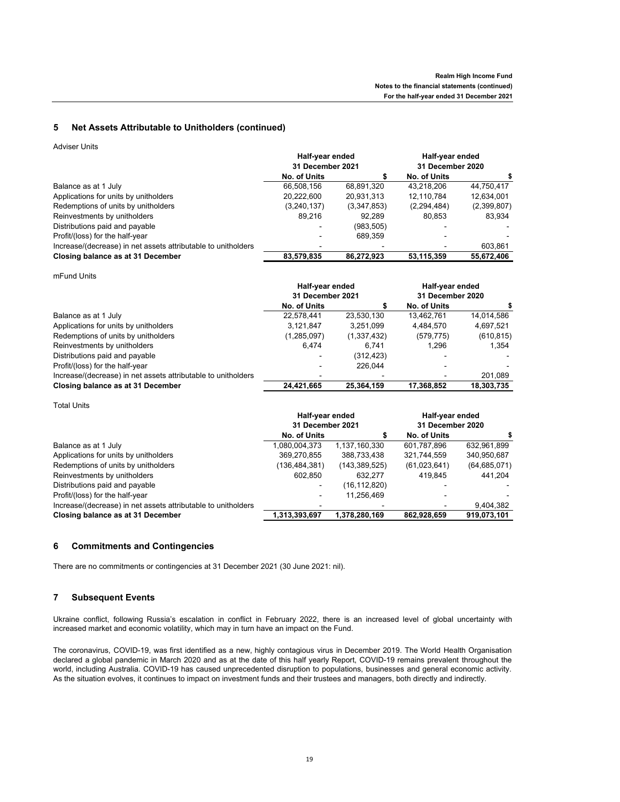#### **5 Net Assets Attributable to Unitholders (continued)**

Adviser Units

|                                                               | Half-year ended<br>31 December 2021 |             | Half-year ended<br>31 December 2020 |             |
|---------------------------------------------------------------|-------------------------------------|-------------|-------------------------------------|-------------|
|                                                               |                                     |             |                                     |             |
|                                                               | No. of Units                        |             | No. of Units                        |             |
| Balance as at 1 July                                          | 66.508.156                          | 68,891,320  | 43.218.206                          | 44,750,417  |
| Applications for units by unitholders                         | 20,222,600                          | 20,931,313  | 12.110.784                          | 12,634,001  |
| Redemptions of units by unitholders                           | (3,240,137)                         | (3,347,853) | (2, 294, 484)                       | (2,399,807) |
| Reinvestments by unitholders                                  | 89.216                              | 92.289      | 80.853                              | 83.934      |
| Distributions paid and payable                                |                                     | (983, 505)  |                                     |             |
| Profit/(loss) for the half-year                               |                                     | 689.359     |                                     |             |
| Increase/(decrease) in net assets attributable to unitholders |                                     |             |                                     | 603.861     |
| Closing balance as at 31 December                             | 83,579,835                          | 86.272.923  | 53,115,359                          | 55.672.406  |

mFund Units

|                                                               | Half-year ended<br>31 December 2021 |             | Half-year ended<br>31 December 2020 |            |
|---------------------------------------------------------------|-------------------------------------|-------------|-------------------------------------|------------|
|                                                               | No. of Units                        |             | No. of Units                        |            |
| Balance as at 1 July                                          | 22,578,441                          | 23,530,130  | 13,462,761                          | 14,014,586 |
| Applications for units by unitholders                         | 3,121,847                           | 3,251,099   | 4,484,570                           | 4,697,521  |
| Redemptions of units by unitholders                           | (1,285,097)                         | (1,337,432) | (579, 775)                          | (610, 815) |
| Reinvestments by unitholders                                  | 6.474                               | 6.741       | 1.296                               | 1,354      |
| Distributions paid and payable                                |                                     | (312, 423)  |                                     |            |
| Profit/(loss) for the half-year                               |                                     | 226.044     | -                                   |            |
| Increase/(decrease) in net assets attributable to unitholders |                                     |             |                                     | 201,089    |
| Closing balance as at 31 December                             | 24.421.665                          | 25.364.159  | 17.368.852                          | 18,303,735 |

Total Units

|                                                               | Half-year ended<br>31 December 2021 |                 | Half-year ended<br>31 December 2020 |                |
|---------------------------------------------------------------|-------------------------------------|-----------------|-------------------------------------|----------------|
|                                                               | No. of Units                        |                 | No. of Units                        |                |
| Balance as at 1 July                                          | 1,080,004,373                       | 1,137,160,330   | 601.787.896                         | 632,961,899    |
| Applications for units by unitholders                         | 369,270,855                         | 388,733,438     | 321,744,559                         | 340,950,687    |
| Redemptions of units by unitholders                           | (136,484,381)                       | (143, 389, 525) | (61,023,641)                        | (64, 685, 071) |
| Reinvestments by unitholders                                  | 602.850                             | 632.277         | 419.845                             | 441.204        |
| Distributions paid and payable                                |                                     | (16, 112, 820)  |                                     |                |
| Profit/(loss) for the half-year                               |                                     | 11,256,469      | $\blacksquare$                      |                |
| Increase/(decrease) in net assets attributable to unitholders |                                     |                 |                                     | 9,404,382      |
| Closing balance as at 31 December                             | 1,313,393,697                       | 1,378,280,169   | 862.928.659                         | 919.073.101    |

#### **6 Commitments and Contingencies**

There are no commitments or contingencies at 31 December 2021 (30 June 2021: nil).

#### **7 Subsequent Events**

Ukraine conflict, following Russia's escalation in conflict in February 2022, there is an increased level of global uncertainty with increased market and economic volatility, which may in turn have an impact on the Fund.

The coronavirus, COVID-19, was first identified as a new, highly contagious virus in December 2019. The World Health Organisation declared a global pandemic in March 2020 and as at the date of this half yearly Report, COVID-19 remains prevalent throughout the world, including Australia. COVID-19 has caused unprecedented disruption to populations, businesses and general economic activity. As the situation evolves, it continues to impact on investment funds and their trustees and managers, both directly and indirectly.